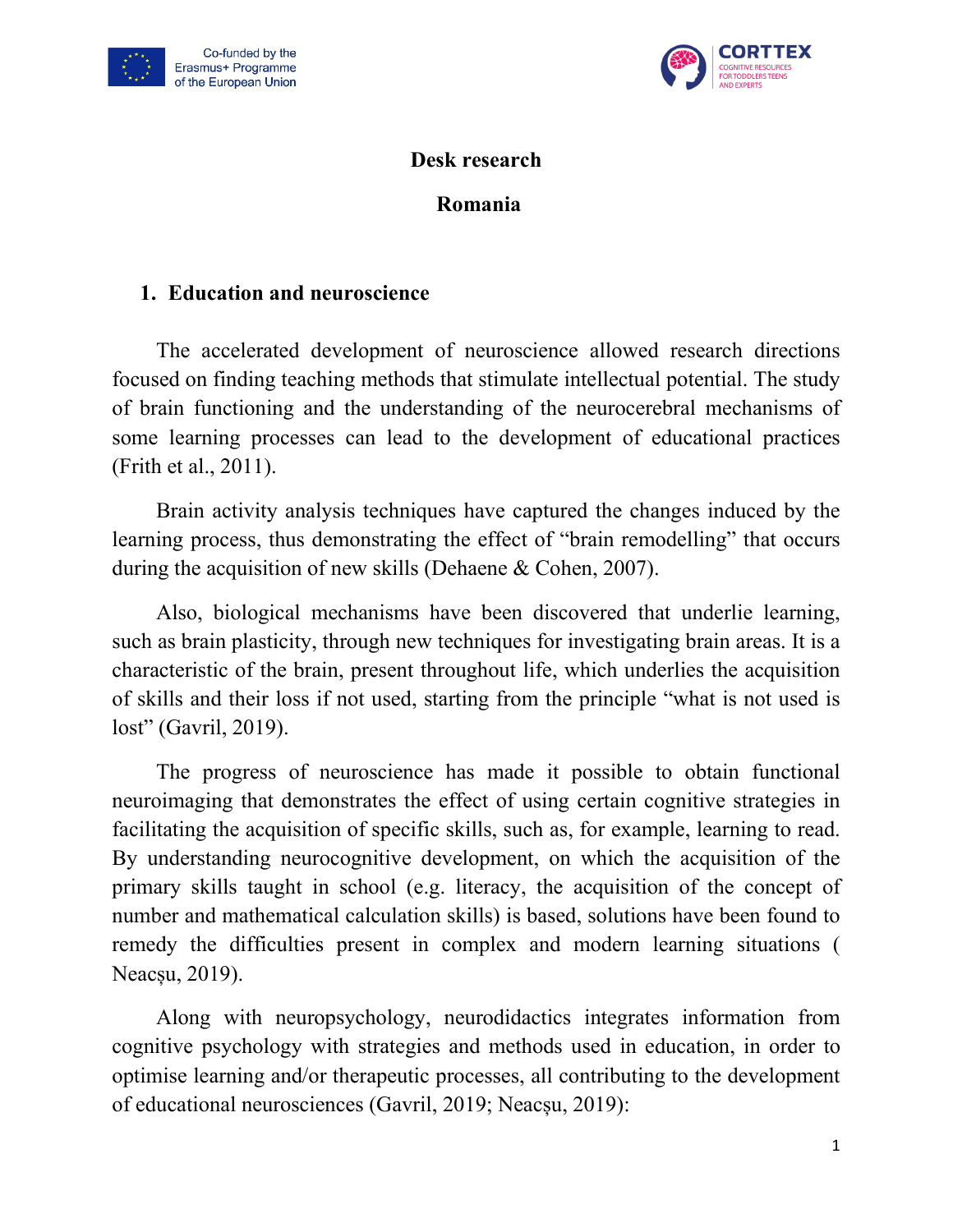



#### **Desk research**

### **Romania**

### **1. Education and neuroscience**

The accelerated development of neuroscience allowed research directions focused on finding teaching methods that stimulate intellectual potential. The study of brain functioning and the understanding of the neurocerebral mechanisms of some learning processes can lead to the development of educational practices (Frith et al., 2011).

Brain activity analysis techniques have captured the changes induced by the learning process, thus demonstrating the effect of "brain remodelling" that occurs during the acquisition of new skills (Dehaene & Cohen, 2007).

Also, biological mechanisms have been discovered that underlie learning, such as brain plasticity, through new techniques for investigating brain areas. It is a characteristic of the brain, present throughout life, which underlies the acquisition of skills and their loss if not used, starting from the principle "what is not used is lost" (Gavril, 2019).

The progress of neuroscience has made it possible to obtain functional neuroimaging that demonstrates the effect of using certain cognitive strategies in facilitating the acquisition of specific skills, such as, for example, learning to read. By understanding neurocognitive development, on which the acquisition of the primary skills taught in school (e.g. literacy, the acquisition of the concept of number and mathematical calculation skills) is based, solutions have been found to remedy the difficulties present in complex and modern learning situations ( Neacșu, 2019).

Along with neuropsychology, neurodidactics integrates information from cognitive psychology with strategies and methods used in education, in order to optimise learning and/or therapeutic processes, all contributing to the development of educational neurosciences (Gavril, 2019; Neacșu, 2019):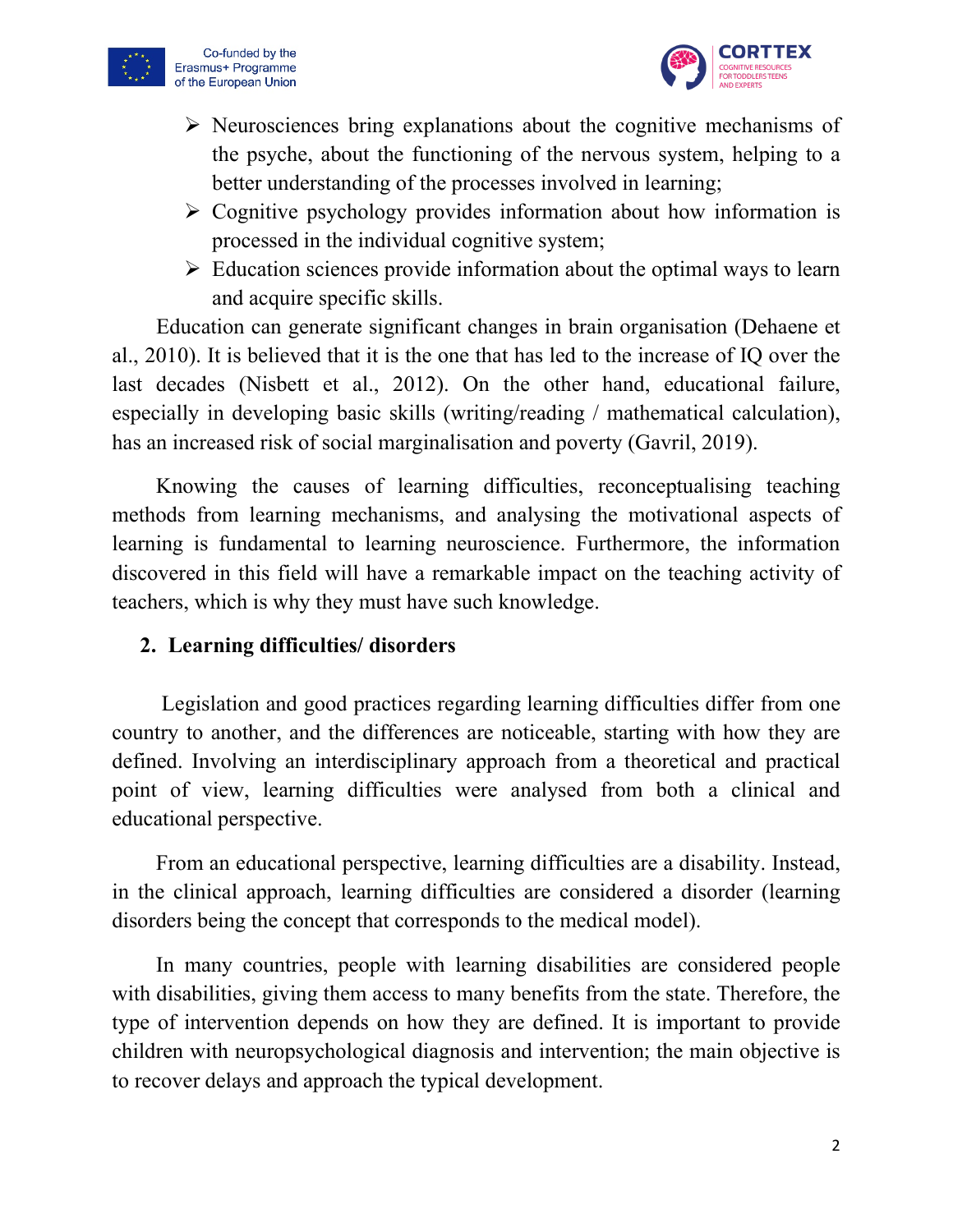



- $\triangleright$  Neurosciences bring explanations about the cognitive mechanisms of the psyche, about the functioning of the nervous system, helping to a better understanding of the processes involved in learning;
- $\triangleright$  Cognitive psychology provides information about how information is processed in the individual cognitive system;
- $\triangleright$  Education sciences provide information about the optimal ways to learn and acquire specific skills.

Education can generate significant changes in brain organisation (Dehaene et al., 2010). It is believed that it is the one that has led to the increase of IQ over the last decades (Nisbett et al., 2012). On the other hand, educational failure, especially in developing basic skills (writing/reading / mathematical calculation), has an increased risk of social marginalisation and poverty (Gavril, 2019).

Knowing the causes of learning difficulties, reconceptualising teaching methods from learning mechanisms, and analysing the motivational aspects of learning is fundamental to learning neuroscience. Furthermore, the information discovered in this field will have a remarkable impact on the teaching activity of teachers, which is why they must have such knowledge.

#### **2. Learning difficulties/ disorders**

Legislation and good practices regarding learning difficulties differ from one country to another, and the differences are noticeable, starting with how they are defined. Involving an interdisciplinary approach from a theoretical and practical point of view, learning difficulties were analysed from both a clinical and educational perspective.

From an educational perspective, learning difficulties are a disability. Instead, in the clinical approach, learning difficulties are considered a disorder (learning disorders being the concept that corresponds to the medical model).

In many countries, people with learning disabilities are considered people with disabilities, giving them access to many benefits from the state. Therefore, the type of intervention depends on how they are defined. It is important to provide children with neuropsychological diagnosis and intervention; the main objective is to recover delays and approach the typical development.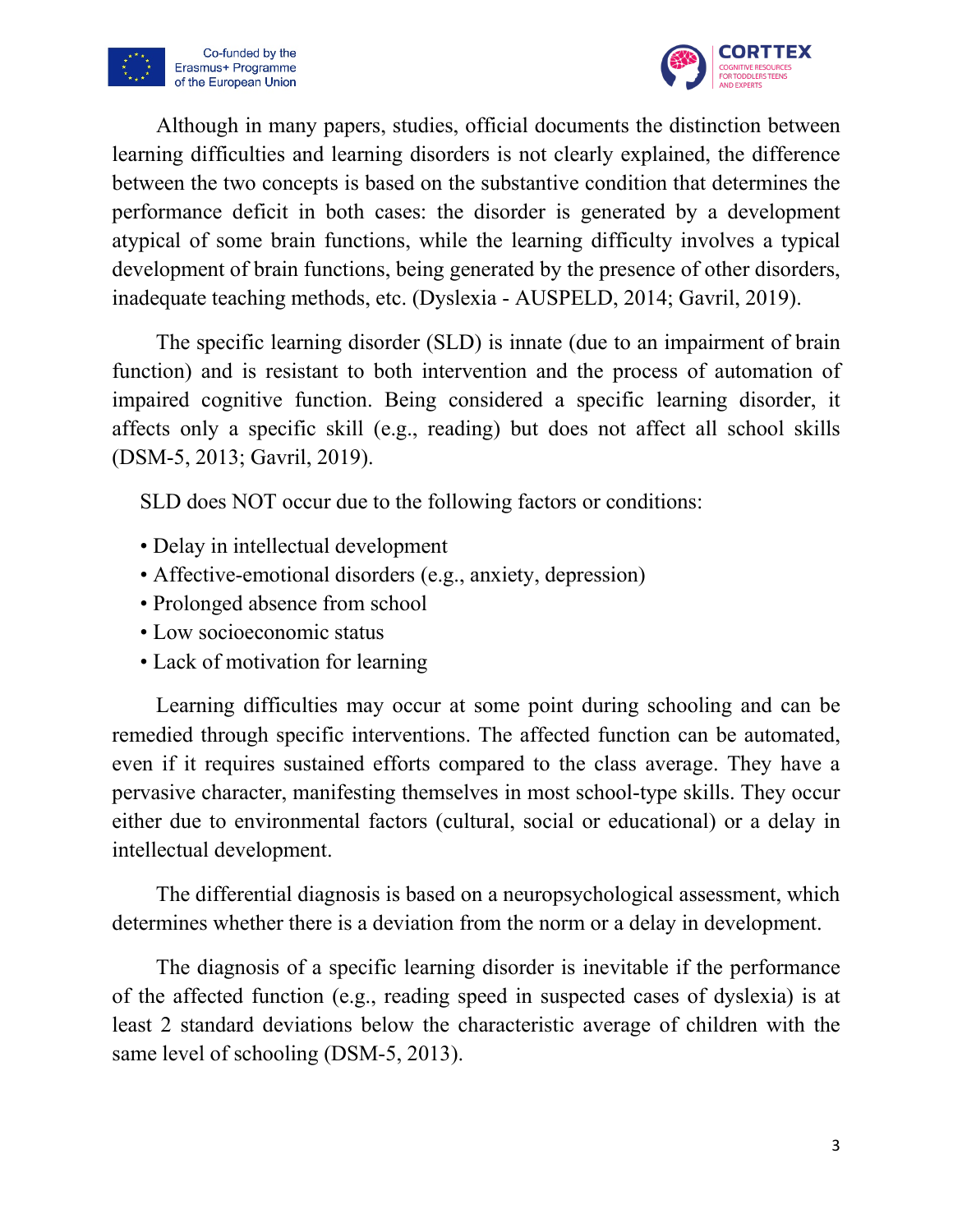



Although in many papers, studies, official documents the distinction between learning difficulties and learning disorders is not clearly explained, the difference between the two concepts is based on the substantive condition that determines the performance deficit in both cases: the disorder is generated by a development atypical of some brain functions, while the learning difficulty involves a typical development of brain functions, being generated by the presence of other disorders, inadequate teaching methods, etc. (Dyslexia - AUSPELD, 2014; Gavril, 2019).

The specific learning disorder (SLD) is innate (due to an impairment of brain function) and is resistant to both intervention and the process of automation of impaired cognitive function. Being considered a specific learning disorder, it affects only a specific skill (e.g., reading) but does not affect all school skills (DSM-5, 2013; Gavril, 2019).

SLD does NOT occur due to the following factors or conditions:

- Delay in intellectual development
- Affective-emotional disorders (e.g., anxiety, depression)
- Prolonged absence from school
- Low socioeconomic status
- Lack of motivation for learning

Learning difficulties may occur at some point during schooling and can be remedied through specific interventions. The affected function can be automated, even if it requires sustained efforts compared to the class average. They have a pervasive character, manifesting themselves in most school-type skills. They occur either due to environmental factors (cultural, social or educational) or a delay in intellectual development.

The differential diagnosis is based on a neuropsychological assessment, which determines whether there is a deviation from the norm or a delay in development.

The diagnosis of a specific learning disorder is inevitable if the performance of the affected function (e.g., reading speed in suspected cases of dyslexia) is at least 2 standard deviations below the characteristic average of children with the same level of schooling (DSM-5, 2013).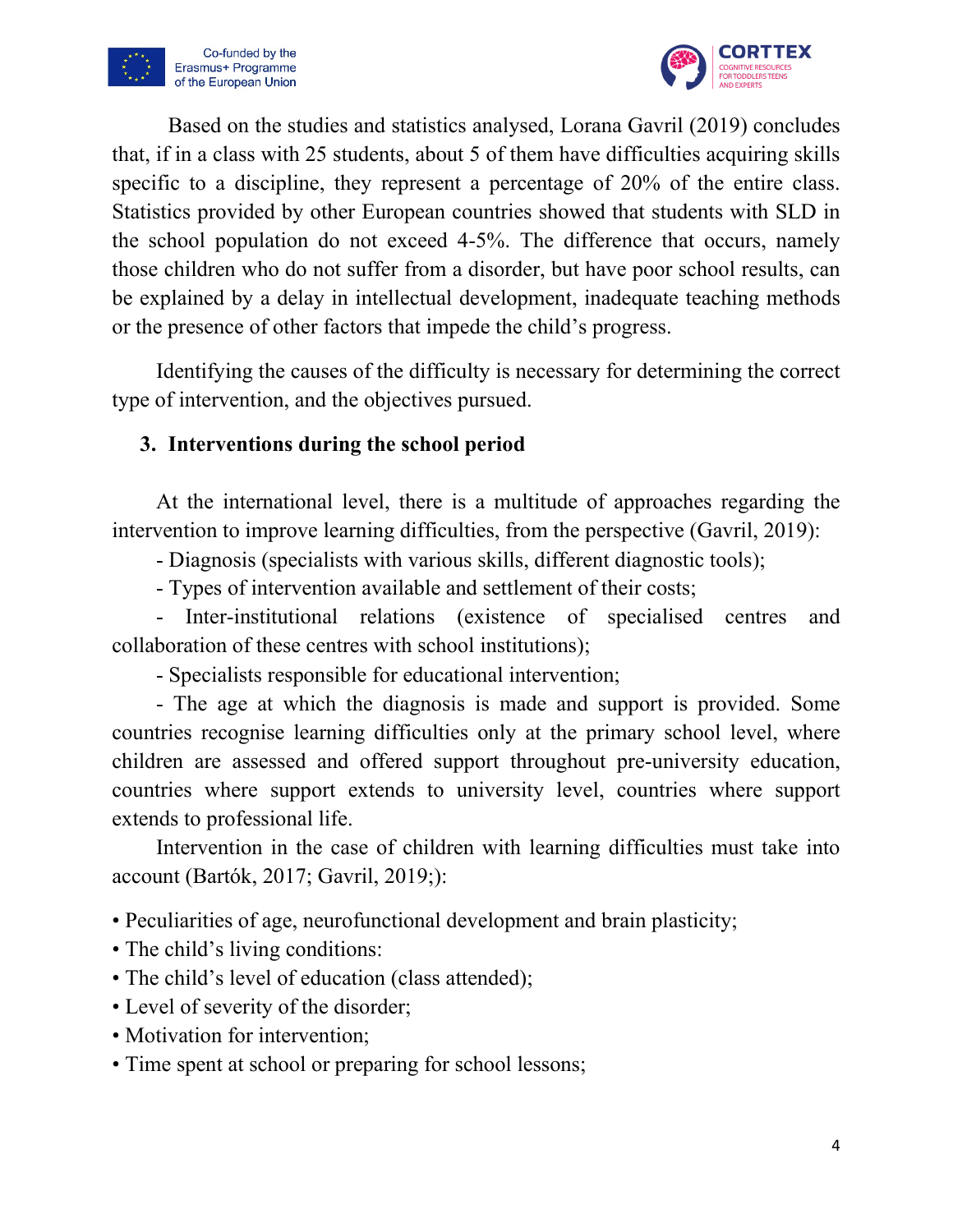



Based on the studies and statistics analysed, Lorana Gavril (2019) concludes that, if in a class with 25 students, about 5 of them have difficulties acquiring skills specific to a discipline, they represent a percentage of 20% of the entire class. Statistics provided by other European countries showed that students with SLD in the school population do not exceed 4-5%. The difference that occurs, namely those children who do not suffer from a disorder, but have poor school results, can be explained by a delay in intellectual development, inadequate teaching methods or the presence of other factors that impede the child's progress.

Identifying the causes of the difficulty is necessary for determining the correct type of intervention, and the objectives pursued.

# **3. Interventions during the school period**

At the international level, there is a multitude of approaches regarding the intervention to improve learning difficulties, from the perspective (Gavril, 2019):

- Diagnosis (specialists with various skills, different diagnostic tools);

- Types of intervention available and settlement of their costs;

- Inter-institutional relations (existence of specialised centres and collaboration of these centres with school institutions);

- Specialists responsible for educational intervention;

- The age at which the diagnosis is made and support is provided. Some countries recognise learning difficulties only at the primary school level, where children are assessed and offered support throughout pre-university education, countries where support extends to university level, countries where support extends to professional life.

Intervention in the case of children with learning difficulties must take into account (Bartók, 2017; Gavril, 2019;):

• Peculiarities of age, neurofunctional development and brain plasticity;

- The child's living conditions:
- The child's level of education (class attended);
- Level of severity of the disorder;
- Motivation for intervention;
- Time spent at school or preparing for school lessons;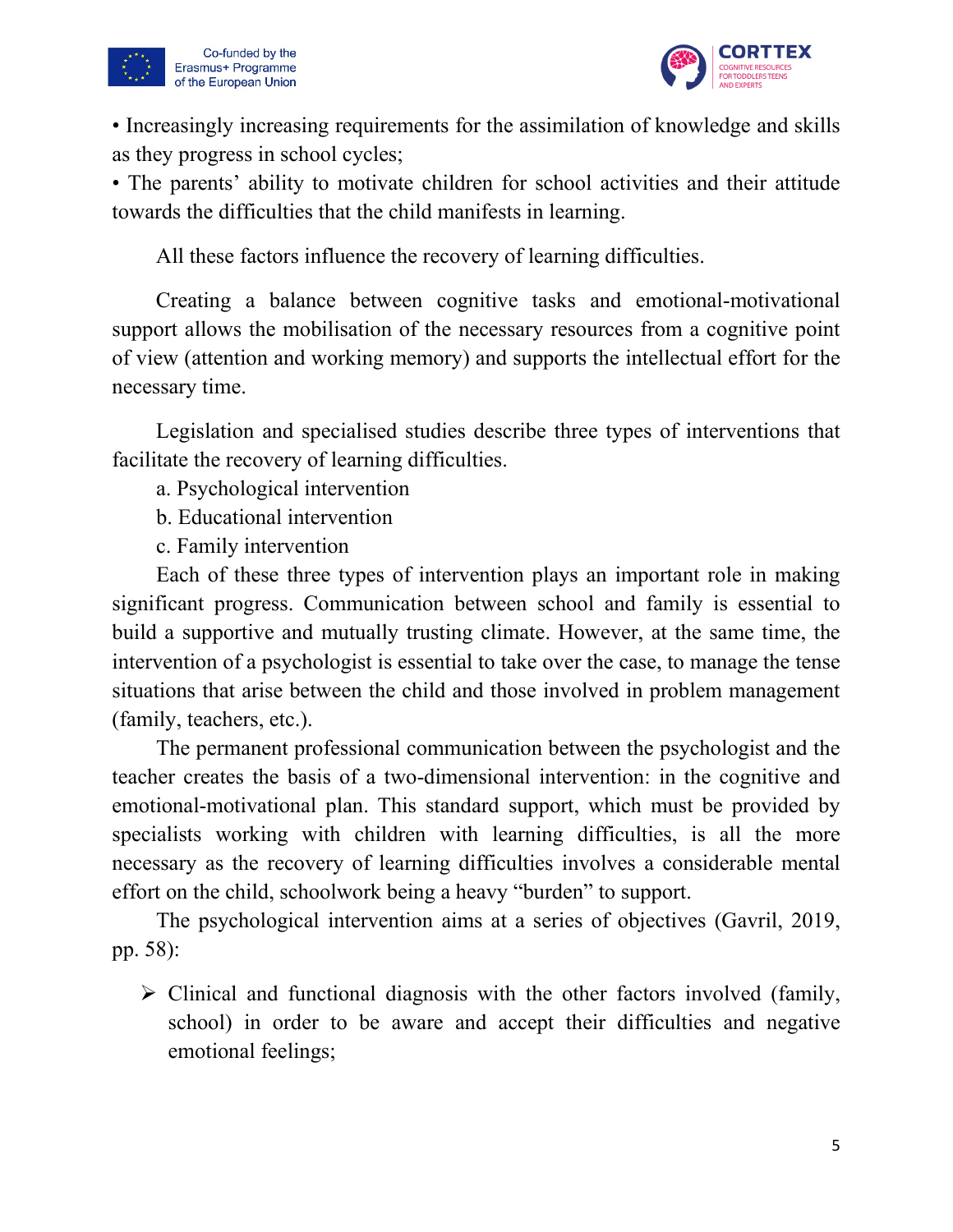



• Increasingly increasing requirements for the assimilation of knowledge and skills as they progress in school cycles;

• The parents' ability to motivate children for school activities and their attitude towards the difficulties that the child manifests in learning.

All these factors influence the recovery of learning difficulties.

Creating a balance between cognitive tasks and emotional-motivational support allows the mobilisation of the necessary resources from a cognitive point of view (attention and working memory) and supports the intellectual effort for the necessary time.

Legislation and specialised studies describe three types of interventions that facilitate the recovery of learning difficulties.

a. Psychological intervention

b. Educational intervention

c. Family intervention

Each of these three types of intervention plays an important role in making significant progress. Communication between school and family is essential to build a supportive and mutually trusting climate. However, at the same time, the intervention of a psychologist is essential to take over the case, to manage the tense situations that arise between the child and those involved in problem management (family, teachers, etc.).

The permanent professional communication between the psychologist and the teacher creates the basis of a two-dimensional intervention: in the cognitive and emotional-motivational plan. This standard support, which must be provided by specialists working with children with learning difficulties, is all the more necessary as the recovery of learning difficulties involves a considerable mental effort on the child, schoolwork being a heavy "burden" to support.

The psychological intervention aims at a series of objectives (Gavril, 2019, pp. 58):

 $\triangleright$  Clinical and functional diagnosis with the other factors involved (family, school) in order to be aware and accept their difficulties and negative emotional feelings;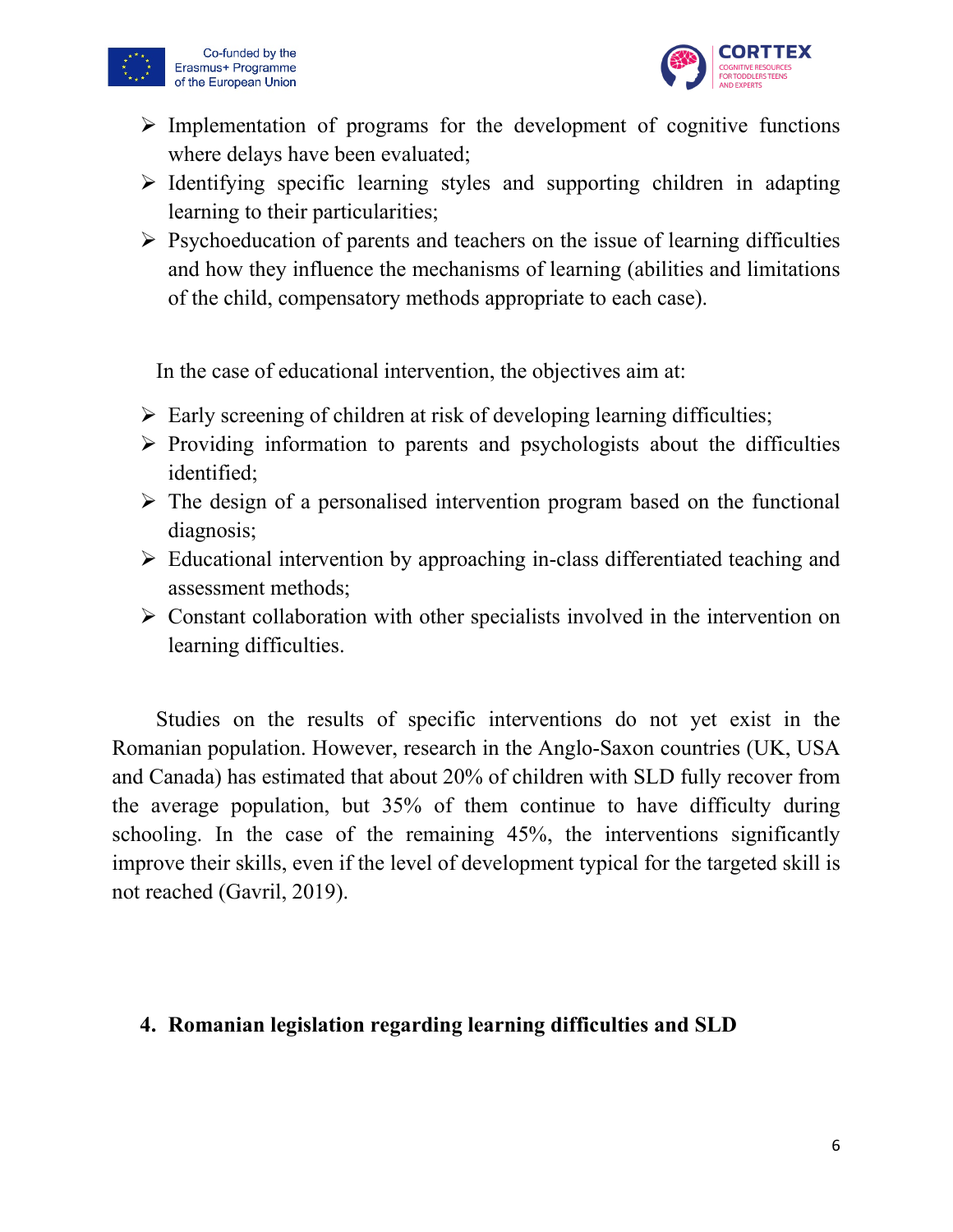



- $\triangleright$  Implementation of programs for the development of cognitive functions where delays have been evaluated;
- $\triangleright$  Identifying specific learning styles and supporting children in adapting learning to their particularities;
- $\triangleright$  Psychoeducation of parents and teachers on the issue of learning difficulties and how they influence the mechanisms of learning (abilities and limitations of the child, compensatory methods appropriate to each case).

In the case of educational intervention, the objectives aim at:

- $\triangleright$  Early screening of children at risk of developing learning difficulties;
- $\triangleright$  Providing information to parents and psychologists about the difficulties identified;
- $\triangleright$  The design of a personalised intervention program based on the functional diagnosis;
- Educational intervention by approaching in-class differentiated teaching and assessment methods;
- $\triangleright$  Constant collaboration with other specialists involved in the intervention on learning difficulties.

Studies on the results of specific interventions do not yet exist in the Romanian population. However, research in the Anglo-Saxon countries (UK, USA and Canada) has estimated that about 20% of children with SLD fully recover from the average population, but 35% of them continue to have difficulty during schooling. In the case of the remaining 45%, the interventions significantly improve their skills, even if the level of development typical for the targeted skill is not reached (Gavril, 2019).

# **4. Romanian legislation regarding learning difficulties and SLD**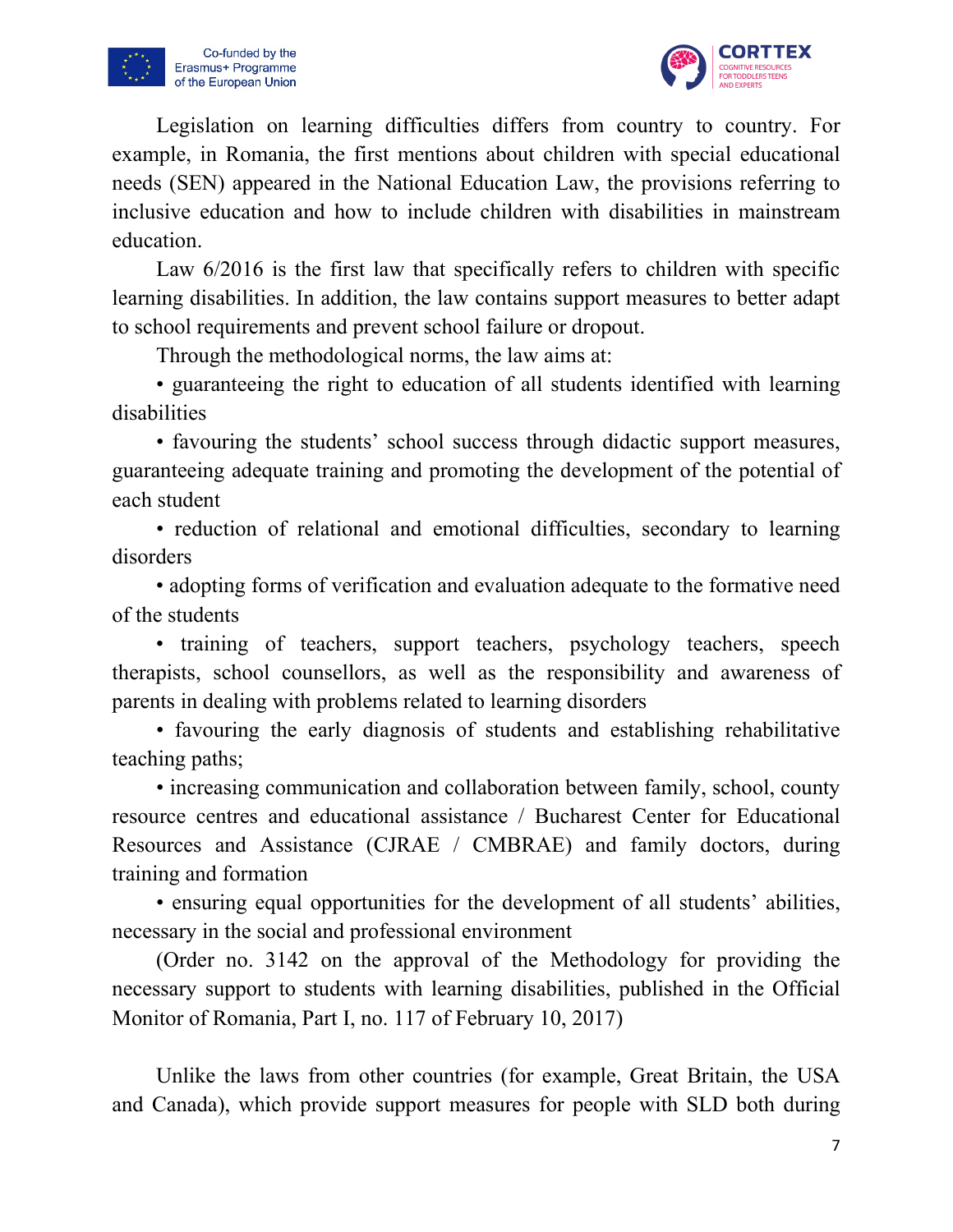



Legislation on learning difficulties differs from country to country. For example, in Romania, the first mentions about children with special educational needs (SEN) appeared in the National Education Law, the provisions referring to inclusive education and how to include children with disabilities in mainstream education.

Law 6/2016 is the first law that specifically refers to children with specific learning disabilities. In addition, the law contains support measures to better adapt to school requirements and prevent school failure or dropout.

Through the methodological norms, the law aims at:

• guaranteeing the right to education of all students identified with learning disabilities

• favouring the students' school success through didactic support measures, guaranteeing adequate training and promoting the development of the potential of each student

• reduction of relational and emotional difficulties, secondary to learning disorders

• adopting forms of verification and evaluation adequate to the formative need of the students

• training of teachers, support teachers, psychology teachers, speech therapists, school counsellors, as well as the responsibility and awareness of parents in dealing with problems related to learning disorders

• favouring the early diagnosis of students and establishing rehabilitative teaching paths;

• increasing communication and collaboration between family, school, county resource centres and educational assistance / Bucharest Center for Educational Resources and Assistance (CJRAE / CMBRAE) and family doctors, during training and formation

• ensuring equal opportunities for the development of all students' abilities, necessary in the social and professional environment

(Order no. 3142 on the approval of the Methodology for providing the necessary support to students with learning disabilities, published in the Official Monitor of Romania, Part I, no. 117 of February 10, 2017)

Unlike the laws from other countries (for example, Great Britain, the USA and Canada), which provide support measures for people with SLD both during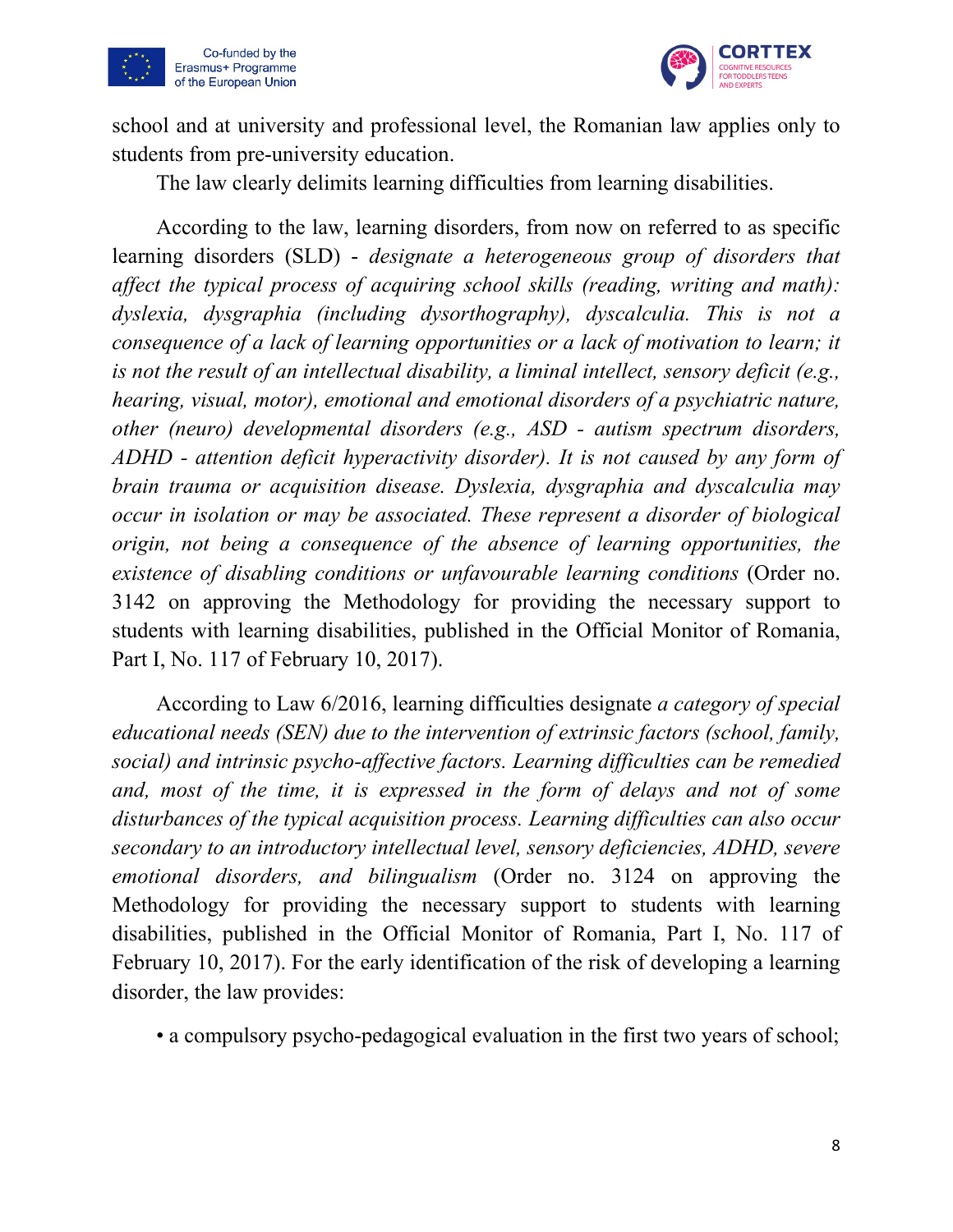



school and at university and professional level, the Romanian law applies only to students from pre-university education.

The law clearly delimits learning difficulties from learning disabilities.

According to the law, learning disorders, from now on referred to as specific learning disorders (SLD) - *designate a heterogeneous group of disorders that affect the typical process of acquiring school skills (reading, writing and math): dyslexia, dysgraphia (including dysorthography), dyscalculia. This is not a consequence of a lack of learning opportunities or a lack of motivation to learn; it is not the result of an intellectual disability, a liminal intellect, sensory deficit (e.g., hearing, visual, motor), emotional and emotional disorders of a psychiatric nature, other (neuro) developmental disorders (e.g., ASD - autism spectrum disorders, ADHD - attention deficit hyperactivity disorder). It is not caused by any form of brain trauma or acquisition disease. Dyslexia, dysgraphia and dyscalculia may occur in isolation or may be associated. These represent a disorder of biological origin, not being a consequence of the absence of learning opportunities, the existence of disabling conditions or unfavourable learning conditions* (Order no. 3142 on approving the Methodology for providing the necessary support to students with learning disabilities, published in the Official Monitor of Romania, Part I, No. 117 of February 10, 2017).

According to Law 6/2016, learning difficulties designate *a category of special educational needs (SEN) due to the intervention of extrinsic factors (school, family, social) and intrinsic psycho-affective factors. Learning difficulties can be remedied and, most of the time, it is expressed in the form of delays and not of some disturbances of the typical acquisition process. Learning difficulties can also occur secondary to an introductory intellectual level, sensory deficiencies, ADHD, severe emotional disorders, and bilingualism* (Order no. 3124 on approving the Methodology for providing the necessary support to students with learning disabilities, published in the Official Monitor of Romania, Part I, No. 117 of February 10, 2017). For the early identification of the risk of developing a learning disorder, the law provides:

• a compulsory psycho-pedagogical evaluation in the first two years of school;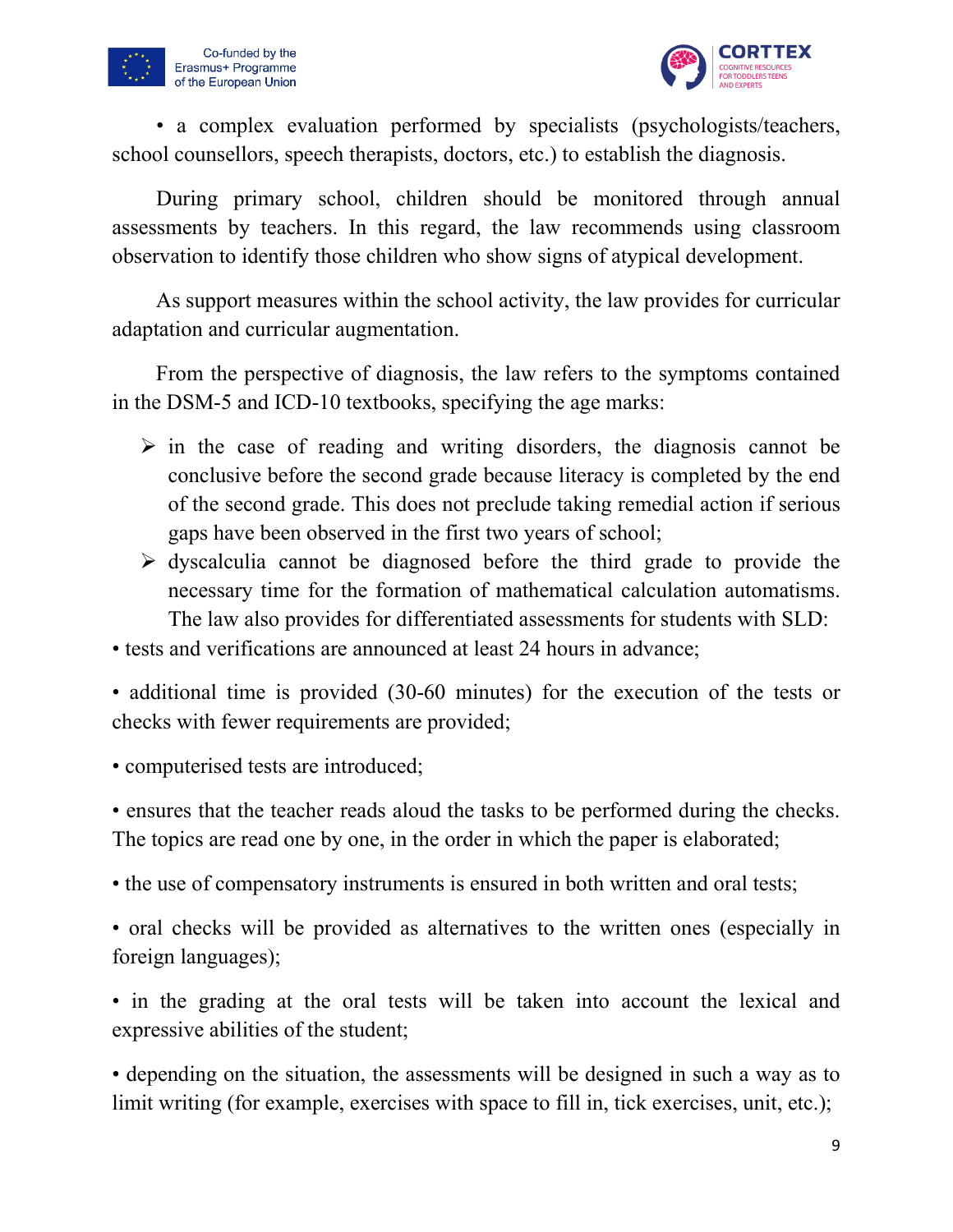



• a complex evaluation performed by specialists (psychologists/teachers, school counsellors, speech therapists, doctors, etc.) to establish the diagnosis.

During primary school, children should be monitored through annual assessments by teachers. In this regard, the law recommends using classroom observation to identify those children who show signs of atypical development.

As support measures within the school activity, the law provides for curricular adaptation and curricular augmentation.

From the perspective of diagnosis, the law refers to the symptoms contained in the DSM-5 and ICD-10 textbooks, specifying the age marks:

- $\triangleright$  in the case of reading and writing disorders, the diagnosis cannot be conclusive before the second grade because literacy is completed by the end of the second grade. This does not preclude taking remedial action if serious gaps have been observed in the first two years of school;
- $\triangleright$  dyscalculia cannot be diagnosed before the third grade to provide the necessary time for the formation of mathematical calculation automatisms. The law also provides for differentiated assessments for students with SLD:

• tests and verifications are announced at least 24 hours in advance;

• additional time is provided (30-60 minutes) for the execution of the tests or checks with fewer requirements are provided;

• computerised tests are introduced;

• ensures that the teacher reads aloud the tasks to be performed during the checks. The topics are read one by one, in the order in which the paper is elaborated;

• the use of compensatory instruments is ensured in both written and oral tests;

• oral checks will be provided as alternatives to the written ones (especially in foreign languages);

• in the grading at the oral tests will be taken into account the lexical and expressive abilities of the student;

• depending on the situation, the assessments will be designed in such a way as to limit writing (for example, exercises with space to fill in, tick exercises, unit, etc.);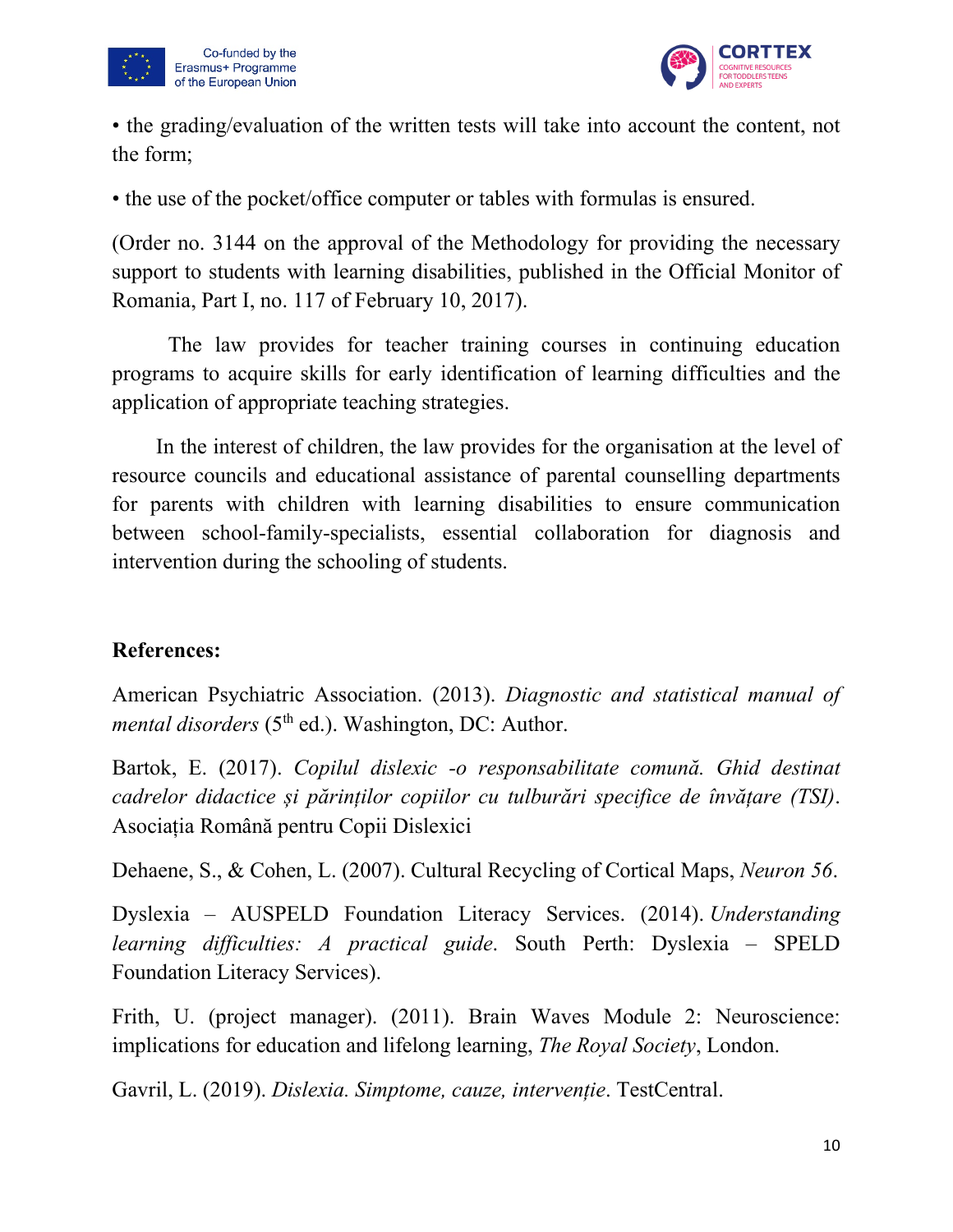



• the grading/evaluation of the written tests will take into account the content, not the form;

• the use of the pocket/office computer or tables with formulas is ensured.

(Order no. 3144 on the approval of the Methodology for providing the necessary support to students with learning disabilities, published in the Official Monitor of Romania, Part I, no. 117 of February 10, 2017).

The law provides for teacher training courses in continuing education programs to acquire skills for early identification of learning difficulties and the application of appropriate teaching strategies.

In the interest of children, the law provides for the organisation at the level of resource councils and educational assistance of parental counselling departments for parents with children with learning disabilities to ensure communication between school-family-specialists, essential collaboration for diagnosis and intervention during the schooling of students.

# **References:**

American Psychiatric Association. (2013). *Diagnostic and statistical manual of mental disorders* (5<sup>th</sup> ed.). Washington, DC: Author.

Bartok, E. (2017). *Copilul dislexic -o responsabilitate comună. Ghid destinat cadrelor didactice și părinților copiilor cu tulburări specifice de învățare (TSI)*. Asociația Română pentru Copii Dislexici

Dehaene, S., & Cohen, L. (2007). Cultural Recycling of Cortical Maps, *Neuron 56*.

Dyslexia – AUSPELD Foundation Literacy Services. (2014). *Understanding learning difficulties: A practical guide*. South Perth: Dyslexia – SPELD Foundation Literacy Services).

Frith, U. (project manager). (2011). Brain Waves Module 2: Neuroscience: implications for education and lifelong learning, *The Royal Society*, London.

Gavril, L. (2019). *Dislexia. Simptome, cauze, intervenție*. TestCentral.